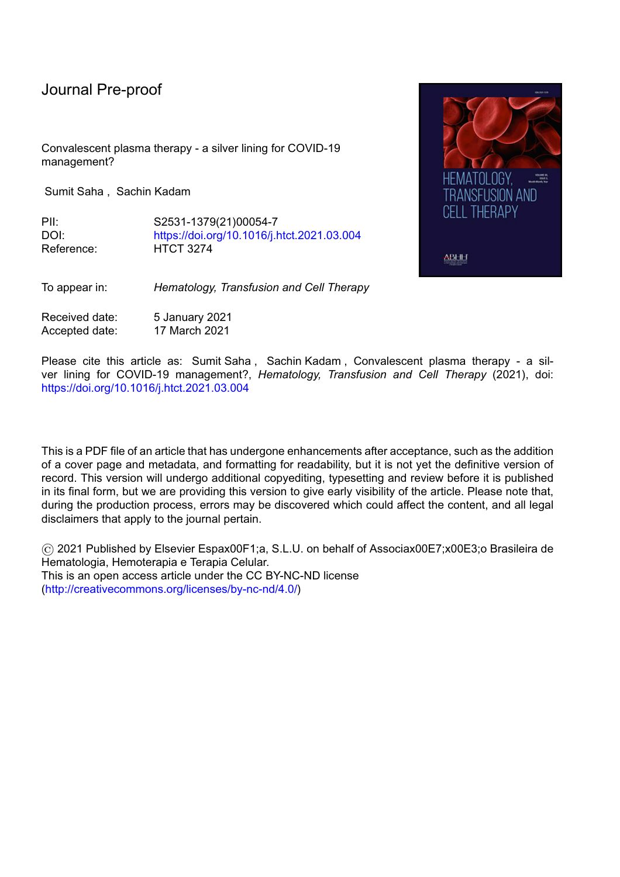Convalescent plasma therapy - a silver lining for COVID-19 management?

Sumit Saha , Sachin Kadam

PII: S2531-1379(21)00054-7 DOI: <https://doi.org/10.1016/j.htct.2021.03.004> Reference: HTCT 3274



To appear in: *Hematology, Transfusion and Cell Therapy*

Received date: 5 January 2021 Accepted date: 17 March 2021

Please cite this article as: Sumit Saha, Sachin Kadam, Convalescent plasma therapy - a silver lining for COVID-19 management?, *Hematology, Transfusion and Cell Therapy* (2021), doi: <https://doi.org/10.1016/j.htct.2021.03.004>

This is a PDF file of an article that has undergone enhancements after acceptance, such as the addition of a cover page and metadata, and formatting for readability, but it is not yet the definitive version of record. This version will undergo additional copyediting, typesetting and review before it is published in its final form, but we are providing this version to give early visibility of the article. Please note that, during the production process, errors may be discovered which could affect the content, and all legal disclaimers that apply to the journal pertain.

© 2021 Published by Elsevier Espax00F1;a, S.L.U. on behalf of Associax00E7;x00E3;o Brasileira de Hematologia, Hemoterapia e Terapia Celular. This is an open access article under the CC BY-NC-ND license [\(http://creativecommons.org/licenses/by-nc-nd/4.0/\)](http://creativecommons.org/licenses/by-nc-nd/4.0/)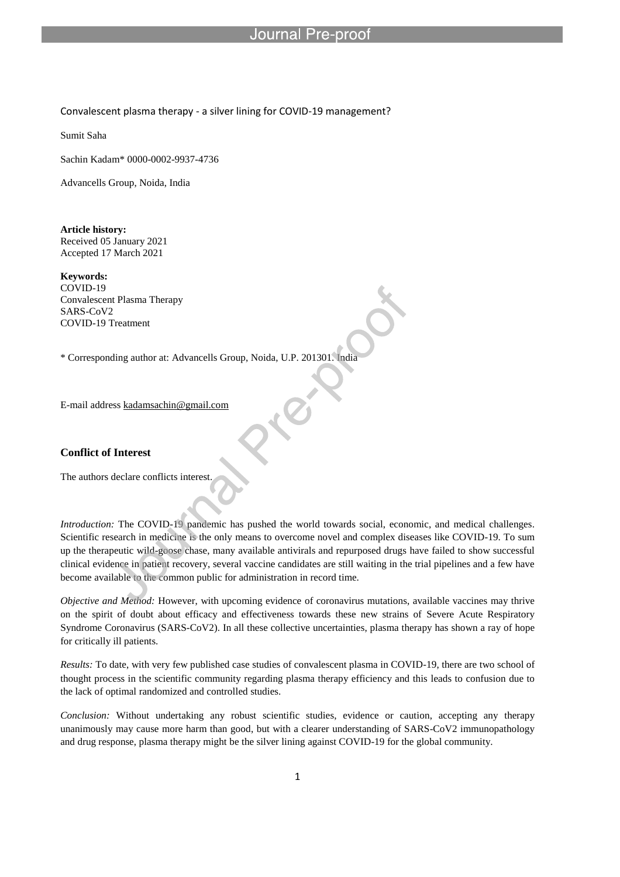## Journal

Convalescent plasma therapy - a silver lining for COVID-19 management?

l

Sumit Saha

Sachin Kadam\* 0000-0002-9937-4736

Advancells Group, Noida, India

**Article history:** Received 05 January 2021 Accepted 17 March 2021

**Keywords:** COVID-19 Convalescent Plasma Therapy SARS-CoV2 COVID-19 Treatment

\* Corresponding author at: Advancells Group, Noida, U.P. 201301. India

E-mail address kadamsachin@gmail.com

## **Conflict of Interest**

The authors declare conflicts interest.

*Introduction:* The COVID-19 pandemic has pushed the world towards social, economic, and medical challenges. Scientific research in medicine is the only means to overcome novel and complex diseases like COVID-19. To sum up the therapeutic wild-goose chase, many available antivirals and repurposed drugs have failed to show successful clinical evidence in patient recovery, several vaccine candidates are still waiting in the trial pipelines and a few have become available to the common public for administration in record time.

*Objective and Method:* However, with upcoming evidence of coronavirus mutations, available vaccines may thrive on the spirit of doubt about efficacy and effectiveness towards these new strains of Severe Acute Respiratory Syndrome Coronavirus (SARS-CoV2). In all these collective uncertainties, plasma therapy has shown a ray of hope for critically ill patients.

*Results:* To date, with very few published case studies of convalescent plasma in COVID-19, there are two school of thought process in the scientific community regarding plasma therapy efficiency and this leads to confusion due to the lack of optimal randomized and controlled studies.

*Conclusion:* Without undertaking any robust scientific studies, evidence or caution, accepting any therapy unanimously may cause more harm than good, but with a clearer understanding of SARS-CoV2 immunopathology and drug response, plasma therapy might be the silver lining against COVID-19 for the global community.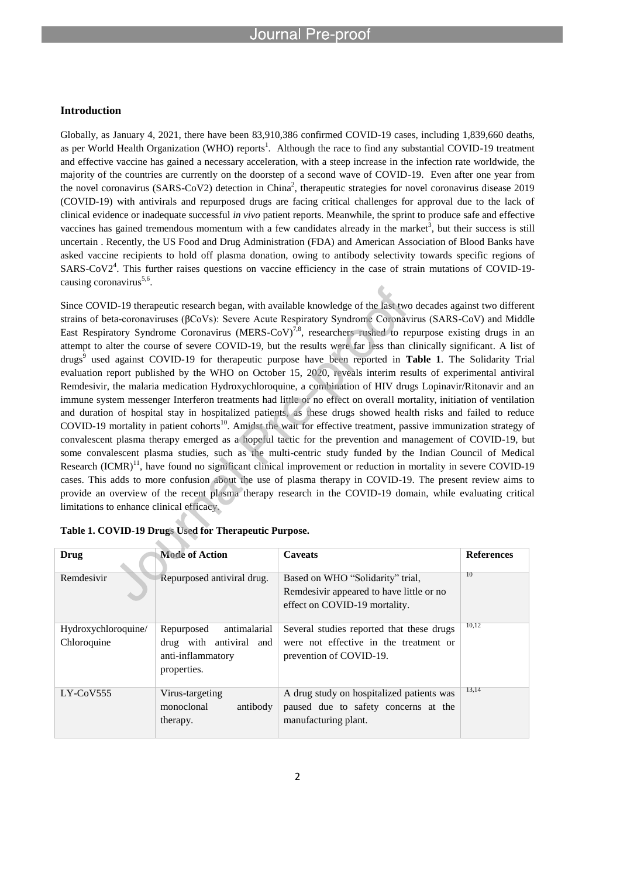### **Introduction**

Globally, as January 4, 2021, there have been 83,910,386 confirmed COVID-19 cases, including 1,839,660 deaths, as per World Health Organization (WHO) reports<sup>1</sup>. Although the race to find any substantial COVID-19 treatment and effective vaccine has gained a necessary acceleration, with a steep increase in the infection rate worldwide, the majority of the countries are currently on the doorstep of a second wave of COVID-19. Even after one year from the novel coronavirus (SARS-CoV2) detection in China<sup>2</sup>, therapeutic strategies for novel coronavirus disease 2019 (COVID-19) with antivirals and repurposed drugs are facing critical challenges for approval due to the lack of clinical evidence or inadequate successful *in vivo* patient reports. Meanwhile, the sprint to produce safe and effective vaccines has gained tremendous momentum with a few candidates already in the market<sup>3</sup>, but their success is still uncertain . Recently, the US Food and Drug Administration (FDA) and American Association of Blood Banks have asked vaccine recipients to hold off plasma donation, owing to antibody selectivity towards specific regions of SARS-CoV2<sup>4</sup>. This further raises questions on vaccine efficiency in the case of strain mutations of COVID-19causing coronavirus<sup>5,6</sup>.

Since COVID-19 therapeutic research began, with available knowledge of the last two decades against two different strains of beta-coronaviruses (βCoVs): Severe Acute Respiratory Syndrome Coronavirus (SARS-CoV) and Middle East Respiratory Syndrome Coronavirus (MERS-CoV)<sup>7,8</sup>, researchers rushed to repurpose existing drugs in an attempt to alter the course of severe COVID-19, but the results were far less than clinically significant. A list of drugs<sup>9</sup> used against COVID-19 for therapeutic purpose have been reported in Table 1. The Solidarity Trial evaluation report published by the WHO on October 15, 2020, reveals interim results of experimental antiviral Remdesivir, the malaria medication Hydroxychloroquine, a combination of HIV drugs Lopinavir/Ritonavir and an immune system messenger Interferon treatments had little or no effect on overall mortality, initiation of ventilation and duration of hospital stay in hospitalized patients, as these drugs showed health risks and failed to reduce COVID-19 mortality in patient cohorts<sup>10</sup>. Amidst the wait for effective treatment, passive immunization strategy of convalescent plasma therapy emerged as a hopeful tactic for the prevention and management of COVID-19, but some convalescent plasma studies, such as the multi-centric study funded by the Indian Council of Medical Research (ICMR)<sup>11</sup>, have found no significant clinical improvement or reduction in mortality in severe COVID-19 cases. This adds to more confusion about the use of plasma therapy in COVID-19. The present review aims to provide an overview of the recent plasma therapy research in the COVID-19 domain, while evaluating critical limitations to enhance clinical efficacy.

| Drug                               | <b>Mode of Action</b>                                                                     | <b>Caveats</b>                                                                                                 | <b>References</b> |
|------------------------------------|-------------------------------------------------------------------------------------------|----------------------------------------------------------------------------------------------------------------|-------------------|
| Remdesivir                         | Repurposed antiviral drug.                                                                | Based on WHO "Solidarity" trial,<br>Remdesivir appeared to have little or no<br>effect on COVID-19 mortality.  | 10                |
| Hydroxychloroquine/<br>Chloroquine | antimalarial<br>Repurposed<br>drug with antiviral and<br>anti-inflammatory<br>properties. | Several studies reported that these drugs<br>were not effective in the treatment or<br>prevention of COVID-19. | 10,12             |
| $LY$ -CoV555                       | Virus-targeting<br>monoclonal<br>antibody<br>therapy.                                     | A drug study on hospitalized patients was<br>paused due to safety concerns at the<br>manufacturing plant.      | 13,14             |

|  |  |  |  | Table 1. COVID-19 Drugs Used for Therapeutic Purpose. |  |
|--|--|--|--|-------------------------------------------------------|--|
|--|--|--|--|-------------------------------------------------------|--|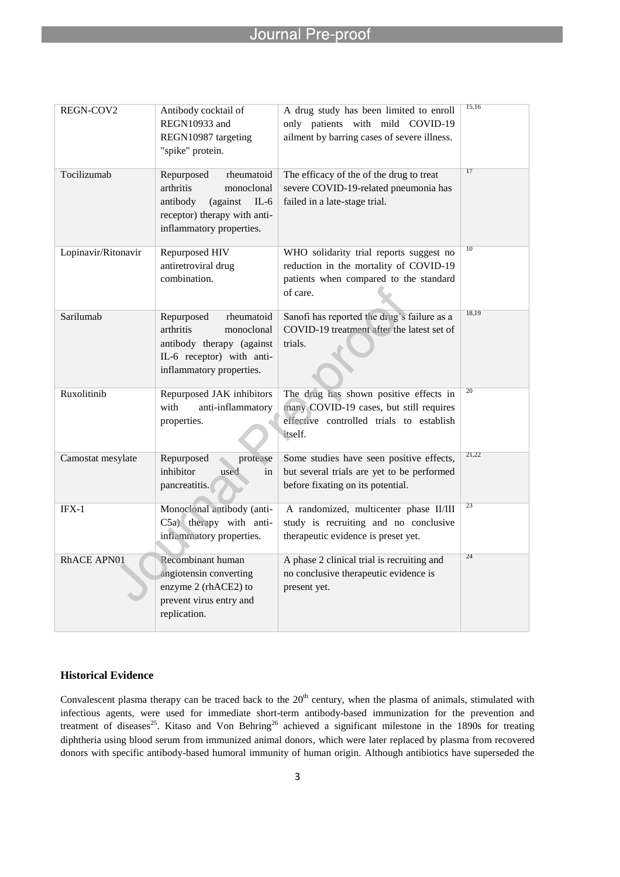| REGN-COV2           | Antibody cocktail of<br>REGN10933 and<br>REGN10987 targeting<br>"spike" protein.                                                                  | A drug study has been limited to enroll<br>only patients with mild COVID-19<br>ailment by barring cases of severe illness.               | 15,16           |
|---------------------|---------------------------------------------------------------------------------------------------------------------------------------------------|------------------------------------------------------------------------------------------------------------------------------------------|-----------------|
| Tocilizumab         | Repurposed<br>rheumatoid<br>arthritis<br>monoclonal<br>antibody<br>(against<br>$IL-6$<br>receptor) therapy with anti-<br>inflammatory properties. | The efficacy of the of the drug to treat<br>severe COVID-19-related pneumonia has<br>failed in a late-stage trial.                       | 17              |
| Lopinavir/Ritonavir | Repurposed HIV<br>antiretroviral drug<br>combination.                                                                                             | WHO solidarity trial reports suggest no<br>reduction in the mortality of COVID-19<br>patients when compared to the standard<br>of care.  | $\overline{10}$ |
| Sarilumab           | Repurposed<br>rheumatoid<br>arthritis<br>monoclonal<br>antibody therapy (against<br>IL-6 receptor) with anti-<br>inflammatory properties.         | Sanofi has reported the drug's failure as a<br>COVID-19 treatment after the latest set of<br>trials.                                     | 18,19           |
| Ruxolitinib         | Repurposed JAK inhibitors<br>anti-inflammatory<br>with<br>properties.                                                                             | The drug has shown positive effects in<br>many COVID-19 cases, but still requires<br>effective controlled trials to establish<br>itself. | 20              |
| Camostat mesylate   | Repurposed<br>protease<br>inhibitor<br>used<br>in<br>pancreatitis.                                                                                | Some studies have seen positive effects,<br>but several trials are yet to be performed<br>before fixating on its potential.              | 21,22           |
| $IFX-1$             | Monoclonal antibody (anti-<br>C5a) therapy with anti-<br>inflammatory properties.                                                                 | A randomized, multicenter phase II/III<br>study is recruiting and no conclusive<br>therapeutic evidence is preset yet.                   | $\overline{23}$ |
| <b>RhACE APN01</b>  | Recombinant human<br>angiotensin converting<br>enzyme 2 (rhACE2) to<br>prevent virus entry and<br>replication.                                    | A phase 2 clinical trial is recruiting and<br>no conclusive therapeutic evidence is<br>present yet.                                      | 24              |

## **Historical Evidence**

Convalescent plasma therapy can be traced back to the  $20<sup>th</sup>$  century, when the plasma of animals, stimulated with infectious agents, were used for immediate short-term antibody-based immunization for the prevention and treatment of diseases<sup>25</sup>. Kitaso and Von Behring<sup>26</sup> achieved a significant milestone in the 1890s for treating diphtheria using blood serum from immunized animal donors, which were later replaced by plasma from recovered donors with specific antibody-based humoral immunity of human origin. Although antibiotics have superseded the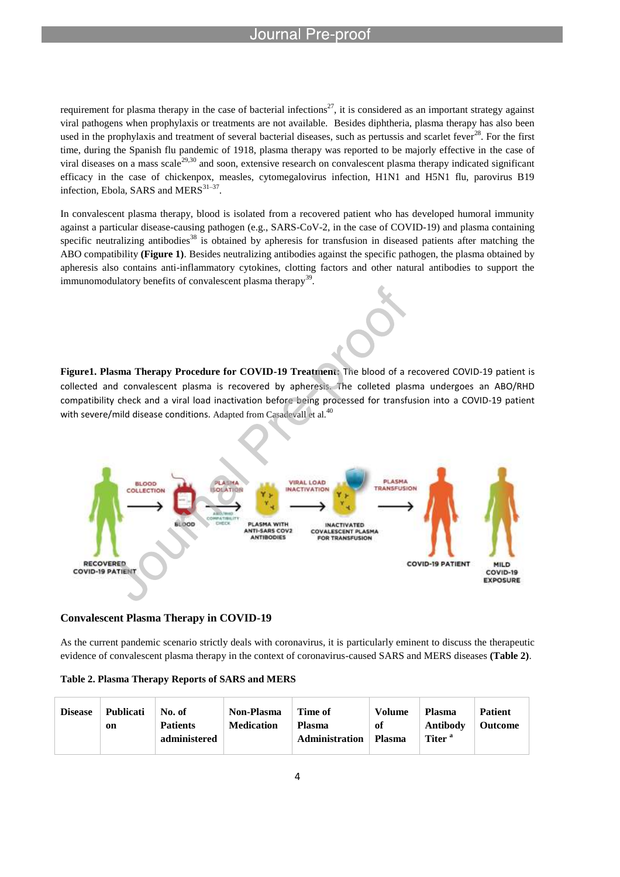requirement for plasma therapy in the case of bacterial infections<sup>27</sup>, it is considered as an important strategy against viral pathogens when prophylaxis or treatments are not available. Besides diphtheria, plasma therapy has also been used in the prophylaxis and treatment of several bacterial diseases, such as pertussis and scarlet fever $^{28}$ . For the first time, during the Spanish flu pandemic of 1918, plasma therapy was reported to be majorly effective in the case of viral diseases on a mass scale<sup>29,30</sup> and soon, extensive research on convalescent plasma therapy indicated significant efficacy in the case of chickenpox, measles, cytomegalovirus infection, H1N1 and H5N1 flu, parovirus B19 infection, Ebola, SARS and MERS $^{31-37}$ .

In convalescent plasma therapy, blood is isolated from a recovered patient who has developed humoral immunity against a particular disease-causing pathogen (e.g., SARS-CoV-2, in the case of COVID-19) and plasma containing specific neutralizing antibodies<sup>38</sup> is obtained by apheresis for transfusion in diseased patients after matching the ABO compatibility **(Figure 1)**. Besides neutralizing antibodies against the specific pathogen, the plasma obtained by apheresis also contains anti-inflammatory cytokines, clotting factors and other natural antibodies to support the immunomodulatory benefits of convalescent plasma therapy<sup>39</sup>.

**Figure1. Plasma Therapy Procedure for COVID-19 Treatment:** The blood of a recovered COVID-19 patient is collected and convalescent plasma is recovered by apheresis. The colleted plasma undergoes an ABO/RHD compatibility check and a viral load inactivation before being processed for transfusion into a COVID-19 patient with severe/mild disease conditions. Adapted from Casadevall et al. $^{40}$ 



## **Convalescent Plasma Therapy in COVID-19**

As the current pandemic scenario strictly deals with coronavirus, it is particularly eminent to discuss the therapeutic evidence of convalescent plasma therapy in the context of coronavirus-caused SARS and MERS diseases **(Table 2)**.

| Table 2. Plasma Therapy Reports of SARS and MERS |  |  |
|--------------------------------------------------|--|--|
|--------------------------------------------------|--|--|

| <b>Disease</b> | <b>Publicati</b><br>on | No. of<br><b>Patients</b><br>administered | <b>Non-Plasma</b><br><b>Medication</b> | Time of<br><b>Plasma</b><br><b>Administration</b> | Volume<br>оf<br><b>Plasma</b> | <b>Plasma</b><br>Antibody<br>Titer <sup>a</sup> | <b>Patient</b><br><b>Outcome</b> |
|----------------|------------------------|-------------------------------------------|----------------------------------------|---------------------------------------------------|-------------------------------|-------------------------------------------------|----------------------------------|
|----------------|------------------------|-------------------------------------------|----------------------------------------|---------------------------------------------------|-------------------------------|-------------------------------------------------|----------------------------------|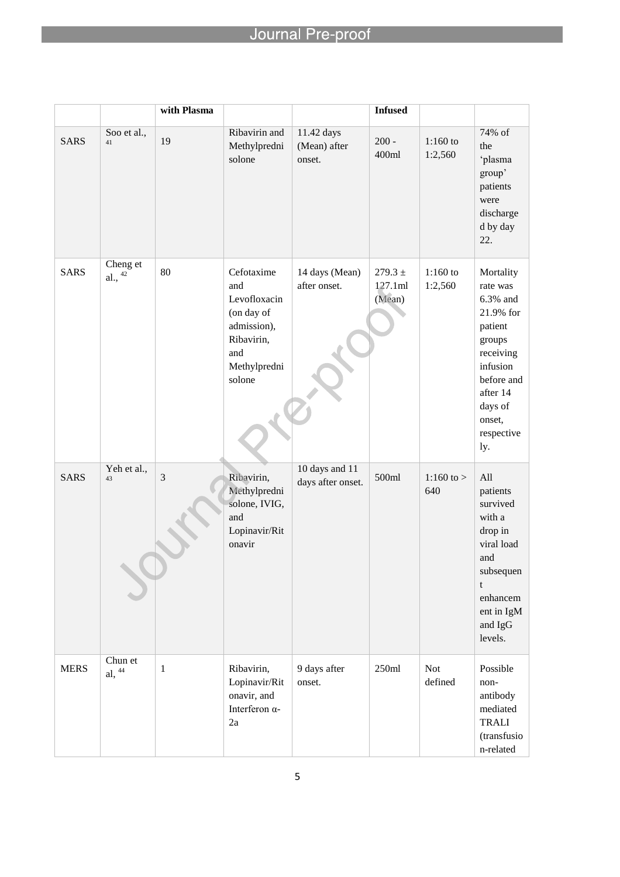|             |                       | with Plasma  |                                                                                                               |                                      | <b>Infused</b>                   |                       |                                                                                                                                                                  |
|-------------|-----------------------|--------------|---------------------------------------------------------------------------------------------------------------|--------------------------------------|----------------------------------|-----------------------|------------------------------------------------------------------------------------------------------------------------------------------------------------------|
| <b>SARS</b> | Soo et al.,<br>41     | 19           | Ribavirin and<br>Methylpredni<br>solone                                                                       | 11.42 days<br>(Mean) after<br>onset. | $200 -$<br>400ml                 | $1:160$ to<br>1:2,560 | 74% of<br>the<br>'plasma<br>group'<br>patients<br>were<br>discharge<br>d by day<br>22.                                                                           |
| <b>SARS</b> | Cheng et<br>al., $42$ | 80           | Cefotaxime<br>and<br>Levofloxacin<br>(on day of<br>admission),<br>Ribavirin,<br>and<br>Methylpredni<br>solone | 14 days (Mean)<br>after onset.       | $279.3 \pm$<br>127.1ml<br>(Mean) | $1:160$ to<br>1:2,560 | Mortality<br>rate was<br>6.3% and<br>21.9% for<br>patient<br>groups<br>receiving<br>infusion<br>before and<br>after 14<br>days of<br>onset,<br>respective<br>ly. |
| <b>SARS</b> | Yeh et al.,<br>43     | 3            | Ribavirin,<br>Methylpredni<br>solone, IVIG,<br>and<br>Lopinavir/Rit<br>onavir                                 | 10 days and 11<br>days after onset.  | 500ml                            | 1:160 to $>$<br>640   | All<br>patients<br>survived<br>with a<br>drop in<br>viral load<br>and<br>subsequen<br>t<br>enhancem<br>ent in IgM<br>and IgG<br>levels.                          |
| <b>MERS</b> | Chun et<br>al, $44$   | $\mathbf{1}$ | Ribavirin,<br>Lopinavir/Rit<br>onavir, and<br>Interferon α-<br>2a                                             | 9 days after<br>onset.               | 250ml                            | Not<br>defined        | Possible<br>non-<br>antibody<br>mediated<br><b>TRALI</b><br>(transfusio<br>n-related                                                                             |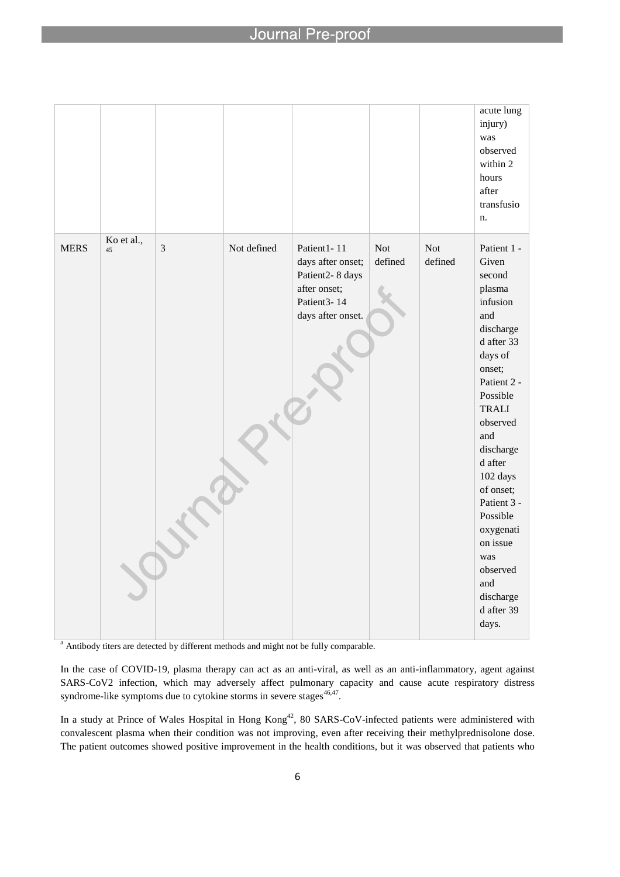#### Journa proo

l

|             |                  |   |             |                                                                                                         |                       |                       | acute lung<br>injury)<br>was<br>observed<br>within 2<br>hours<br>after<br>transfusio<br>n.                                                                                                                                                                                                                                                   |
|-------------|------------------|---|-------------|---------------------------------------------------------------------------------------------------------|-----------------------|-----------------------|----------------------------------------------------------------------------------------------------------------------------------------------------------------------------------------------------------------------------------------------------------------------------------------------------------------------------------------------|
| <b>MERS</b> | Ko et al.,<br>45 | 3 | Not defined | Patient1-11<br>days after onset;<br>Patient2-8 days<br>after onset;<br>Patient3-14<br>days after onset. | <b>Not</b><br>defined | <b>Not</b><br>defined | Patient 1 -<br>Given<br>second<br>plasma<br>infusion<br>and<br>discharge<br>d after 33<br>days of<br>onset;<br>Patient 2 -<br>Possible<br><b>TRALI</b><br>observed<br>and<br>discharge<br>d after<br>102 days<br>of onset;<br>Patient 3 -<br>Possible<br>oxygenati<br>on issue<br>was<br>observed<br>and<br>discharge<br>d after 39<br>days. |

<sup>a</sup> Antibody titers are detected by different methods and might not be fully comparable.

In the case of COVID-19, plasma therapy can act as an anti-viral, as well as an anti-inflammatory, agent against SARS-CoV2 infection, which may adversely affect pulmonary capacity and cause acute respiratory distress syndrome-like symptoms due to cytokine storms in severe stages $46,47$ .

In a study at Prince of Wales Hospital in Hong Kong<sup>42</sup>, 80 SARS-CoV-infected patients were administered with convalescent plasma when their condition was not improving, even after receiving their methylprednisolone dose. The patient outcomes showed positive improvement in the health conditions, but it was observed that patients who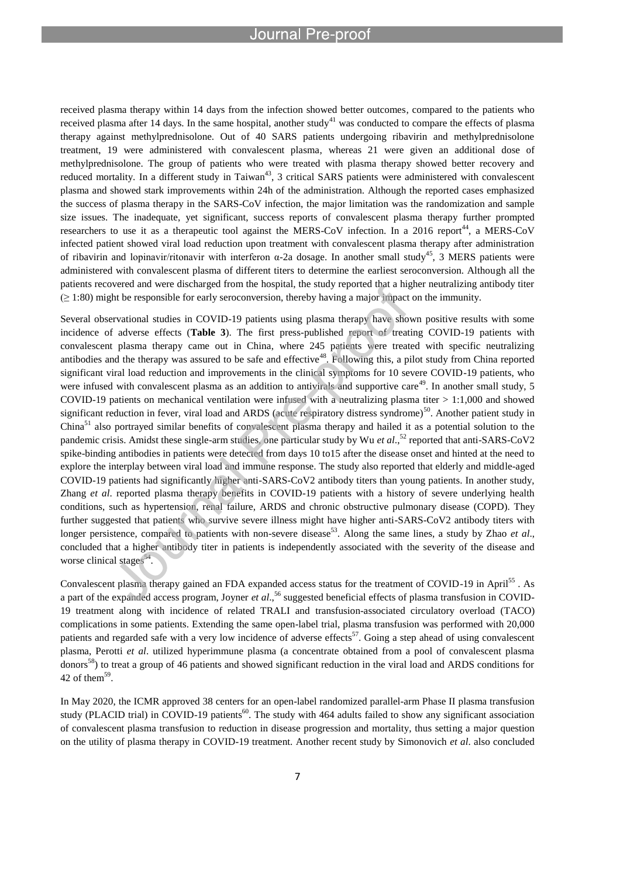received plasma therapy within 14 days from the infection showed better outcomes, compared to the patients who received plasma after 14 days. In the same hospital, another study<sup>41</sup> was conducted to compare the effects of plasma therapy against methylprednisolone. Out of 40 SARS patients undergoing ribavirin and methylprednisolone treatment, 19 were administered with convalescent plasma, whereas 21 were given an additional dose of methylprednisolone. The group of patients who were treated with plasma therapy showed better recovery and reduced mortality. In a different study in Taiwan<sup>43</sup>, 3 critical SARS patients were administered with convalescent plasma and showed stark improvements within 24h of the administration. Although the reported cases emphasized the success of plasma therapy in the SARS-CoV infection, the major limitation was the randomization and sample size issues. The inadequate, yet significant, success reports of convalescent plasma therapy further prompted researchers to use it as a therapeutic tool against the MERS-CoV infection. In a 2016 report<sup>44</sup>, a MERS-CoV infected patient showed viral load reduction upon treatment with convalescent plasma therapy after administration of ribavirin and lopinavir/ritonavir with interferon α-2a dosage. In another small study<sup>45</sup>, 3 MERS patients were administered with convalescent plasma of different titers to determine the earliest seroconversion. Although all the patients recovered and were discharged from the hospital, the study reported that a higher neutralizing antibody titer  $(\geq 1:80)$  might be responsible for early seroconversion, thereby having a major impact on the immunity.

Several observational studies in COVID-19 patients using plasma therapy have shown positive results with some incidence of adverse effects (**Table 3**). The first press-published report of treating COVID-19 patients with convalescent plasma therapy came out in China, where 245 patients were treated with specific neutralizing antibodies and the therapy was assured to be safe and effective<sup>48</sup>. Following this, a pilot study from China reported significant viral load reduction and improvements in the clinical symptoms for 10 severe COVID-19 patients, who were infused with convalescent plasma as an addition to antivirals and supportive care<sup>49</sup>. In another small study, 5 COVID-19 patients on mechanical ventilation were infused with a neutralizing plasma titer > 1:1,000 and showed significant reduction in fever, viral load and ARDS (acute respiratory distress syndrome) $50$ . Another patient study in China<sup>51</sup> also portrayed similar benefits of convalescent plasma therapy and hailed it as a potential solution to the pandemic crisis. Amidst these single-arm studies, one particular study by Wu *et al.*,<sup>52</sup> reported that anti-SARS-CoV2 spike-binding antibodies in patients were detected from days 10 to15 after the disease onset and hinted at the need to explore the interplay between viral load and immune response. The study also reported that elderly and middle-aged COVID-19 patients had significantly higher anti-SARS-CoV2 antibody titers than young patients. In another study, Zhang *et al*. reported plasma therapy benefits in COVID-19 patients with a history of severe underlying health conditions, such as hypertension, renal failure, ARDS and chronic obstructive pulmonary disease (COPD). They further suggested that patients who survive severe illness might have higher anti-SARS-CoV2 antibody titers with longer persistence, compared to patients with non-severe disease<sup>53</sup>. Along the same lines, a study by Zhao *et al.*, concluded that a higher antibody titer in patients is independently associated with the severity of the disease and worse clinical stages<sup>54</sup>.

Convalescent plasma therapy gained an FDA expanded access status for the treatment of COVID-19 in April<sup>55</sup>. As a part of the expanded access program, Joyner *et al*., <sup>56</sup> suggested beneficial effects of plasma transfusion in COVID-19 treatment along with incidence of related TRALI and transfusion-associated circulatory overload (TACO) complications in some patients. Extending the same open-label trial, plasma transfusion was performed with 20,000 patients and regarded safe with a very low incidence of adverse effects<sup>57</sup>. Going a step ahead of using convalescent plasma, Perotti *et al*. utilized hyperimmune plasma (a concentrate obtained from a pool of convalescent plasma donors<sup>58</sup>) to treat a group of 46 patients and showed significant reduction in the viral load and ARDS conditions for 42 of them<sup>59</sup>.

In May 2020, the ICMR approved 38 centers for an open-label randomized parallel-arm Phase II plasma transfusion study (PLACID trial) in COVID-19 patients<sup>60</sup>. The study with 464 adults failed to show any significant association of convalescent plasma transfusion to reduction in disease progression and mortality, thus setting a major question on the utility of plasma therapy in COVID-19 treatment. Another recent study by Simonovich *et al*. also concluded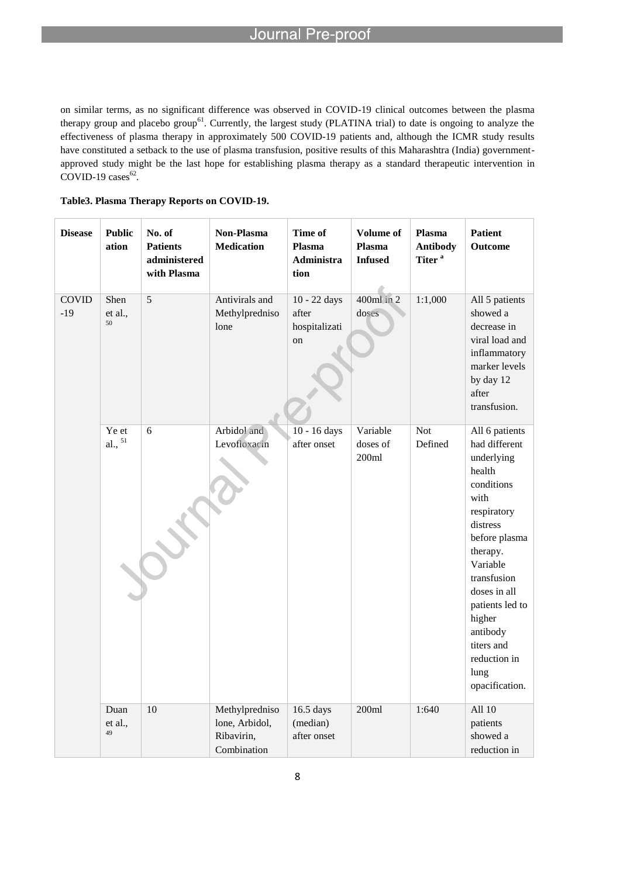on similar terms, as no significant difference was observed in COVID-19 clinical outcomes between the plasma therapy group and placebo group<sup>61</sup>. Currently, the largest study (PLATINA trial) to date is ongoing to analyze the effectiveness of plasma therapy in approximately 500 COVID-19 patients and, although the ICMR study results have constituted a setback to the use of plasma transfusion, positive results of this Maharashtra (India) governmentapproved study might be the last hope for establishing plasma therapy as a standard therapeutic intervention in COVID-19 cases $62$ .

| <b>Disease</b>        | <b>Public</b><br>ation | No. of<br><b>Patients</b><br>administered<br>with Plasma | Non-Plasma<br><b>Medication</b>                               | Time of<br>Plasma<br>Administra<br>tion      | <b>Volume of</b><br>Plasma<br><b>Infused</b> | Plasma<br><b>Antibody</b><br>Titer <sup>a</sup> | <b>Patient</b><br>Outcome                                                                                                                                                                                                                                                         |
|-----------------------|------------------------|----------------------------------------------------------|---------------------------------------------------------------|----------------------------------------------|----------------------------------------------|-------------------------------------------------|-----------------------------------------------------------------------------------------------------------------------------------------------------------------------------------------------------------------------------------------------------------------------------------|
| <b>COVID</b><br>$-19$ | Shen<br>et al.,<br>50  | 5                                                        | Antivirals and<br>Methylpredniso<br>lone                      | 10 - 22 days<br>after<br>hospitalizati<br>on | 400ml in 2<br>doses                          | 1:1,000                                         | All 5 patients<br>showed a<br>decrease in<br>viral load and<br>inflammatory<br>marker levels<br>by day 12<br>after<br>transfusion.                                                                                                                                                |
|                       | Ye et<br>al., $51$     | 6                                                        | Arbidol and<br>Levofloxacin                                   | 10 - 16 days<br>after onset                  | Variable<br>doses of<br>200ml                | <b>Not</b><br>Defined                           | All 6 patients<br>had different<br>underlying<br>health<br>conditions<br>with<br>respiratory<br>distress<br>before plasma<br>therapy.<br>Variable<br>transfusion<br>doses in all<br>patients led to<br>higher<br>antibody<br>titers and<br>reduction in<br>lung<br>opacification. |
|                       | Duan<br>et al.,<br>49  | 10                                                       | Methylpredniso<br>lone, Arbidol,<br>Ribavirin,<br>Combination | 16.5 days<br>(median)<br>after onset         | 200ml                                        | 1:640                                           | All 10<br>patients<br>showed a<br>reduction in                                                                                                                                                                                                                                    |

### **Table3. Plasma Therapy Reports on COVID-19.**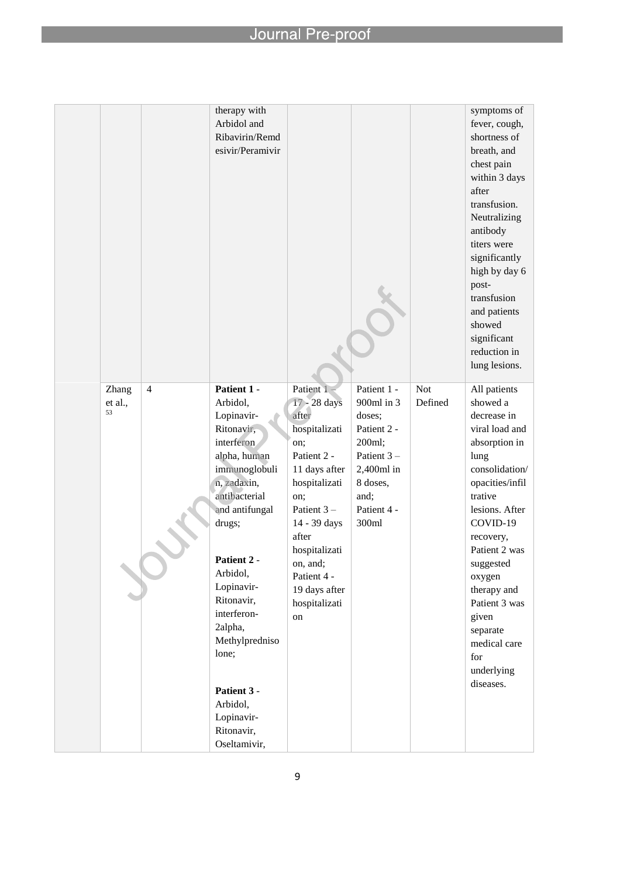|         |                | therapy with               |                            |                     |         | symptoms of                |
|---------|----------------|----------------------------|----------------------------|---------------------|---------|----------------------------|
|         |                | Arbidol and                |                            |                     |         | fever, cough,              |
|         |                | Ribavirin/Remd             |                            |                     |         | shortness of               |
|         |                | esivir/Peramivir           |                            |                     |         | breath, and                |
|         |                |                            |                            |                     |         | chest pain                 |
|         |                |                            |                            |                     |         | within 3 days              |
|         |                |                            |                            |                     |         | after                      |
|         |                |                            |                            |                     |         | transfusion.               |
|         |                |                            |                            |                     |         | Neutralizing               |
|         |                |                            |                            |                     |         | antibody                   |
|         |                |                            |                            |                     |         | titers were                |
|         |                |                            |                            |                     |         | significantly              |
|         |                |                            |                            |                     |         | high by day 6              |
|         |                |                            |                            |                     |         | post-                      |
|         |                |                            |                            |                     |         | transfusion                |
|         |                |                            |                            |                     |         | and patients               |
|         |                |                            |                            |                     |         | showed                     |
|         |                |                            |                            |                     |         | significant                |
|         |                |                            |                            |                     |         | reduction in               |
|         |                |                            |                            |                     |         | lung lesions.              |
|         |                |                            |                            |                     |         |                            |
| Zhang   | $\overline{4}$ | Patient 1 -                | Patient 1-                 | Patient 1 -         | Not     | All patients               |
| et al., |                | Arbidol,                   | 17 - 28 days               | 900ml in 3          | Defined | showed a                   |
| 53      |                | Lopinavir-                 | after                      | doses;              |         | decrease in                |
|         |                | Ritonavir,                 | hospitalizati              | Patient 2 -         |         | viral load and             |
|         |                | interferon                 | on:                        | 200ml;              |         | absorption in              |
|         |                | alpha, human               | Patient 2 -                | Patient 3-          |         | lung                       |
|         |                | immunoglobuli              | 11 days after              | $2,400ml$ in        |         | consolidation/             |
|         |                | n, zadaxin,                | hospitalizati              | 8 doses,            |         | opacities/infil            |
|         |                | antibacterial              | on;                        | and;<br>Patient 4 - |         | trative                    |
|         |                | and antifungal             | Patient 3-<br>14 - 39 days | 300ml               |         | lesions. After<br>COVID-19 |
|         |                | drugs;                     | after                      |                     |         |                            |
|         |                |                            | hospitalizati              |                     |         | recovery,<br>Patient 2 was |
|         |                | Patient 2 -                | on, and;                   |                     |         | suggested                  |
|         |                | Arbidol,                   | Patient 4 -                |                     |         | oxygen                     |
|         |                | Lopinavir-                 | 19 days after              |                     |         | therapy and                |
|         |                | Ritonavir,                 | hospitalizati              |                     |         | Patient 3 was              |
|         |                | interferon-                | on                         |                     |         | given                      |
|         |                | 2alpha,                    |                            |                     |         | separate                   |
|         |                | Methylpredniso             |                            |                     |         | medical care               |
|         |                | lone;                      |                            |                     |         | for                        |
|         |                |                            |                            |                     |         | underlying                 |
|         |                |                            |                            |                     |         | diseases.                  |
|         |                | Patient 3 -                |                            |                     |         |                            |
|         |                | Arbidol,                   |                            |                     |         |                            |
|         |                | Lopinavir-                 |                            |                     |         |                            |
|         |                | Ritonavir,<br>Oseltamivir, |                            |                     |         |                            |
|         |                |                            |                            |                     |         |                            |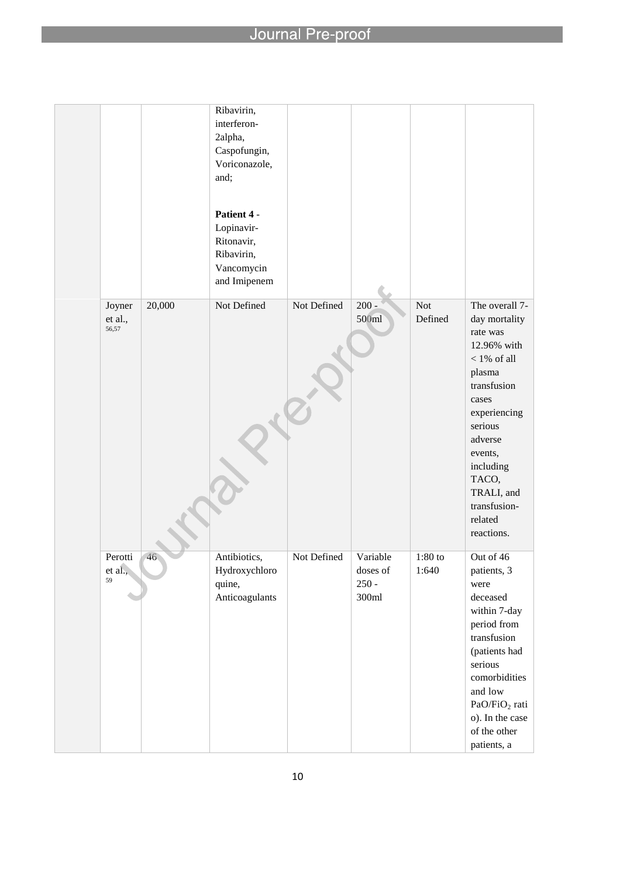|                            |        | Ribavirin,<br>interferon-<br>2alpha,<br>Caspofungin,<br>Voriconazole,<br>and;<br>Patient 4 -<br>Lopinavir-<br>Ritonavir,<br>Ribavirin,<br>Vancomycin<br>and Imipenem |             |                                          |                       |                                                                                                                                                                                                                                             |
|----------------------------|--------|----------------------------------------------------------------------------------------------------------------------------------------------------------------------|-------------|------------------------------------------|-----------------------|---------------------------------------------------------------------------------------------------------------------------------------------------------------------------------------------------------------------------------------------|
| Joyner<br>et al.,<br>56,57 | 20,000 | Not Defined                                                                                                                                                          | Not Defined | $200 -$<br>500ml                         | <b>Not</b><br>Defined | The overall 7-<br>day mortality<br>rate was<br>12.96% with<br>$<1\%$ of all<br>plasma<br>transfusion<br>cases<br>experiencing<br>serious<br>adverse<br>events,<br>including<br>TACO,<br>TRALI, and<br>transfusion-<br>related<br>reactions. |
| Perotti<br>$et$ al.,<br>59 | 46     | Antibiotics,<br>Hydroxychloro<br>quine,<br>Anticoagulants                                                                                                            | Not Defined | Variable<br>doses of<br>$250 -$<br>300ml | $1:80$ to<br>1:640    | Out of 46<br>patients, 3<br>were<br>$\rm{deceased}$<br>within 7-day<br>period from<br>transfusion<br>(patients had<br>serious<br>comorbidities<br>and low<br>$\rm PaO/FiO_2$ rati<br>o). In the case<br>of the other<br>patients, a         |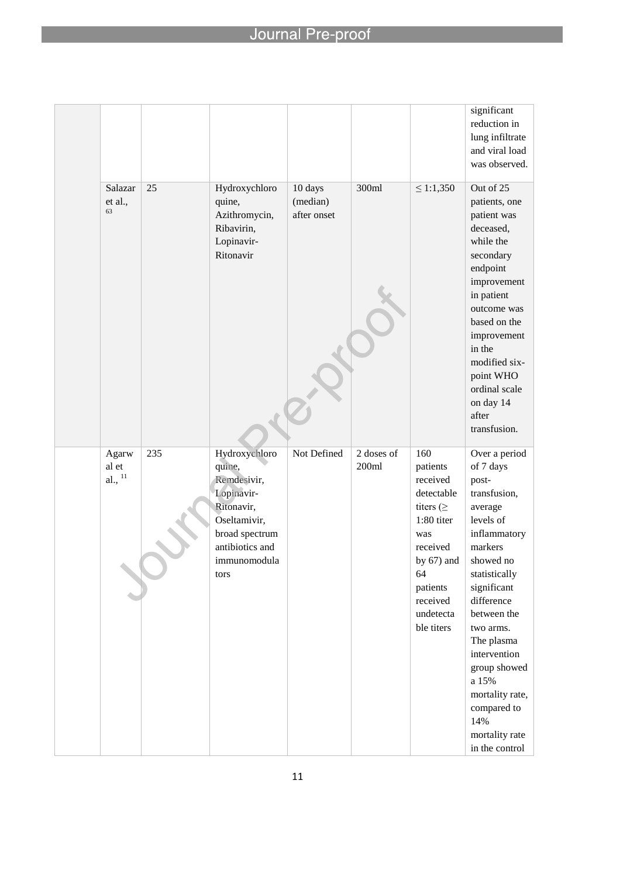|                             |     |                                                                                                                                                 |                                    |                     |                                                                                                                                                                        | significant<br>reduction in<br>lung infiltrate<br>and viral load<br>was observed.                                                                                                                                                                                                                                                 |
|-----------------------------|-----|-------------------------------------------------------------------------------------------------------------------------------------------------|------------------------------------|---------------------|------------------------------------------------------------------------------------------------------------------------------------------------------------------------|-----------------------------------------------------------------------------------------------------------------------------------------------------------------------------------------------------------------------------------------------------------------------------------------------------------------------------------|
| Salazar<br>et al.,<br>63    | 25  | Hydroxychloro<br>quine,<br>Azithromycin,<br>Ribavirin,<br>Lopinavir-<br>Ritonavir                                                               | 10 days<br>(median)<br>after onset | 300ml               | $\leq 1:1,350$                                                                                                                                                         | Out of 25<br>patients, one<br>patient was<br>deceased,<br>while the<br>secondary<br>endpoint<br>improvement<br>in patient<br>outcome was<br>based on the<br>improvement<br>in the<br>modified six-<br>point WHO<br>ordinal scale<br>on day 14<br>after<br>transfusion.                                                            |
| Agarw<br>al et<br>al., $11$ | 235 | Hydroxychloro<br>quine,<br>Remdesivir,<br>Lopinavir-<br>Ritonavir,<br>Oseltamivir,<br>broad spectrum<br>antibiotics and<br>immunomodula<br>tors | Not Defined                        | 2 doses of<br>200ml | 160<br>patients<br>received<br>detectable<br>titers $( \geq$<br>1:80 titer<br>was<br>received<br>by $67)$ and<br>64<br>patients<br>received<br>undetecta<br>ble titers | Over a period<br>of 7 days<br>post-<br>transfusion,<br>average<br>levels of<br>inflammatory<br>markers<br>showed no<br>statistically<br>significant<br>difference<br>between the<br>two arms.<br>The plasma<br>intervention<br>group showed<br>a 15%<br>mortality rate,<br>compared to<br>14%<br>mortality rate<br>in the control |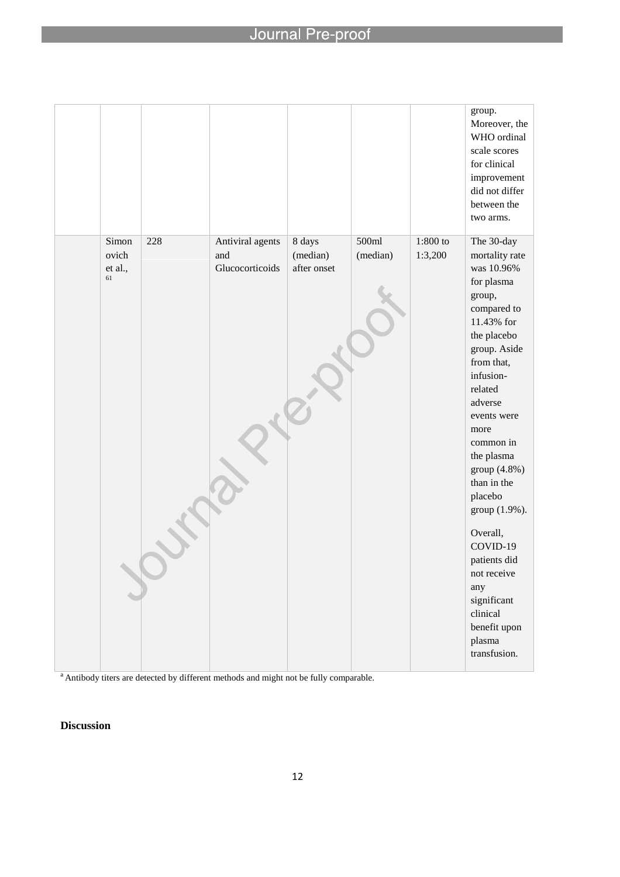l

|                |     |                         |                    |                   |                       | group.<br>Moreover, the<br>WHO ordinal<br>scale scores<br>for clinical<br>improvement<br>did not differ<br>between the<br>two arms.                                                                                                                                                                                                                                               |
|----------------|-----|-------------------------|--------------------|-------------------|-----------------------|-----------------------------------------------------------------------------------------------------------------------------------------------------------------------------------------------------------------------------------------------------------------------------------------------------------------------------------------------------------------------------------|
| Simon<br>ovich | 228 | Antiviral agents<br>and | 8 days<br>(median) | 500ml<br>(median) | $1:800$ to<br>1:3,200 | The 30-day<br>mortality rate                                                                                                                                                                                                                                                                                                                                                      |
| et al.,        |     | Glucocorticoids         | after onset        |                   |                       | was 10.96%                                                                                                                                                                                                                                                                                                                                                                        |
| 61             |     |                         |                    |                   |                       | for plasma<br>group,<br>compared to<br>11.43% for<br>the placebo<br>group. Aside<br>from that,<br>infusion-<br>related<br>adverse<br>events were<br>more<br>common in<br>the plasma<br>group (4.8%)<br>than in the<br>placebo<br>group (1.9%).<br>Overall,<br>COVID-19<br>patients did<br>not receive<br>any<br>significant<br>clinical<br>benefit upon<br>plasma<br>transfusion. |

a Antibody titers are detected by different methods and might not be fully comparable.

## **Discussion**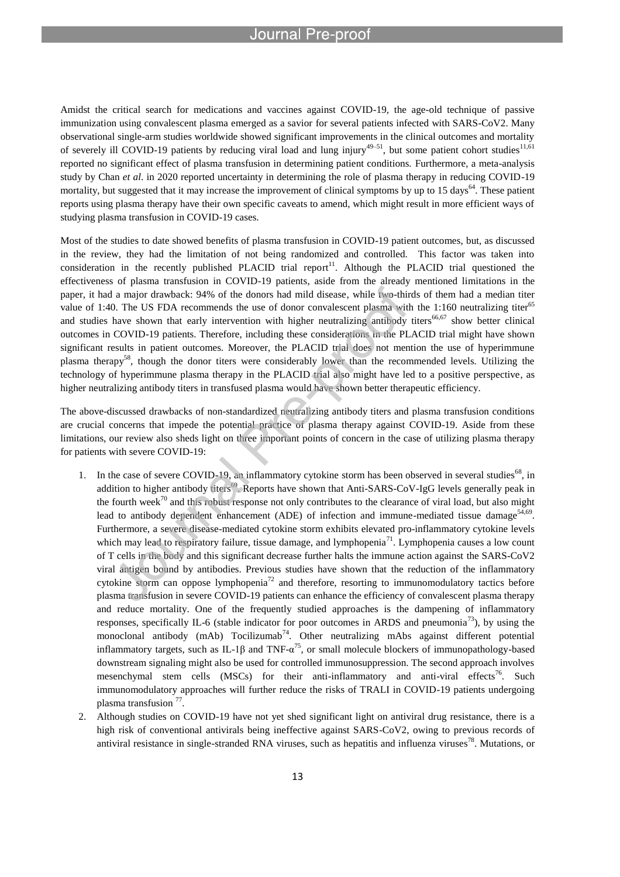## nrnn

l

Amidst the critical search for medications and vaccines against COVID-19, the age-old technique of passive immunization using convalescent plasma emerged as a savior for several patients infected with SARS-CoV2. Many observational single-arm studies worldwide showed significant improvements in the clinical outcomes and mortality of severely ill COVID-19 patients by reducing viral load and lung injury<sup>49–51</sup>, but some patient cohort studies<sup>11,61</sup> reported no significant effect of plasma transfusion in determining patient conditions. Furthermore, a meta-analysis study by Chan *et al*. in 2020 reported uncertainty in determining the role of plasma therapy in reducing COVID-19 mortality, but suggested that it may increase the improvement of clinical symptoms by up to 15 days<sup>64</sup>. These patient reports using plasma therapy have their own specific caveats to amend, which might result in more efficient ways of studying plasma transfusion in COVID-19 cases.

Most of the studies to date showed benefits of plasma transfusion in COVID-19 patient outcomes, but, as discussed in the review, they had the limitation of not being randomized and controlled. This factor was taken into consideration in the recently published PLACID trial report<sup>11</sup>. Although the PLACID trial questioned the effectiveness of plasma transfusion in COVID-19 patients, aside from the already mentioned limitations in the paper, it had a major drawback: 94% of the donors had mild disease, while two-thirds of them had a median titer value of 1:40. The US FDA recommends the use of donor convalescent plasma with the 1:160 neutralizing titer<sup>65</sup> and studies have shown that early intervention with higher neutralizing antibody titers<sup>66,67</sup> show better clinical outcomes in COVID-19 patients. Therefore, including these considerations in the PLACID trial might have shown significant results in patient outcomes. Moreover, the PLACID trial does not mention the use of hyperimmune plasma therapy<sup>58</sup>, though the donor titers were considerably lower than the recommended levels. Utilizing the technology of hyperimmune plasma therapy in the PLACID trial also might have led to a positive perspective, as higher neutralizing antibody titers in transfused plasma would have shown better therapeutic efficiency.

The above-discussed drawbacks of non-standardized neutralizing antibody titers and plasma transfusion conditions are crucial concerns that impede the potential practice of plasma therapy against COVID-19. Aside from these limitations, our review also sheds light on three important points of concern in the case of utilizing plasma therapy for patients with severe COVID-19:

- 1. In the case of severe COVID-19, an inflammatory cytokine storm has been observed in several studies $^{68}$ , in addition to higher antibody titers<sup>69</sup>. Reports have shown that Anti-SARS-CoV-IgG levels generally peak in the fourth week<sup>70</sup> and this robust response not only contributes to the clearance of viral load, but also might lead to antibody dependent enhancement (ADE) of infection and immune-mediated tissue damage<sup>54,69</sup>. Furthermore, a severe disease-mediated cytokine storm exhibits elevated pro-inflammatory cytokine levels which may lead to respiratory failure, tissue damage, and lymphopenia<sup>71</sup>. Lymphopenia causes a low count of T cells in the body and this significant decrease further halts the immune action against the SARS-CoV2 viral antigen bound by antibodies. Previous studies have shown that the reduction of the inflammatory cytokine storm can oppose lymphopenia<sup>72</sup> and therefore, resorting to immunomodulatory tactics before plasma transfusion in severe COVID-19 patients can enhance the efficiency of convalescent plasma therapy and reduce mortality. One of the frequently studied approaches is the dampening of inflammatory responses, specifically IL-6 (stable indicator for poor outcomes in ARDS and pneumonia<sup>73</sup>), by using the monoclonal antibody (mAb) Tocilizumab<sup>74</sup>. Other neutralizing mAbs against different potential inflammatory targets, such as IL-1 $\beta$  and TNF- $\alpha^{75}$ , or small molecule blockers of immunopathology-based downstream signaling might also be used for controlled immunosuppression. The second approach involves mesenchymal stem cells  $(MSCs)$  for their anti-inflammatory and anti-viral effects<sup>76</sup>. Such immunomodulatory approaches will further reduce the risks of TRALI in COVID-19 patients undergoing plasma transfusion<sup>77</sup>.
- 2. Although studies on COVID-19 have not yet shed significant light on antiviral drug resistance, there is a high risk of conventional antivirals being ineffective against SARS-CoV2, owing to previous records of antiviral resistance in single-stranded RNA viruses, such as hepatitis and influenza viruses<sup>78</sup>. Mutations, or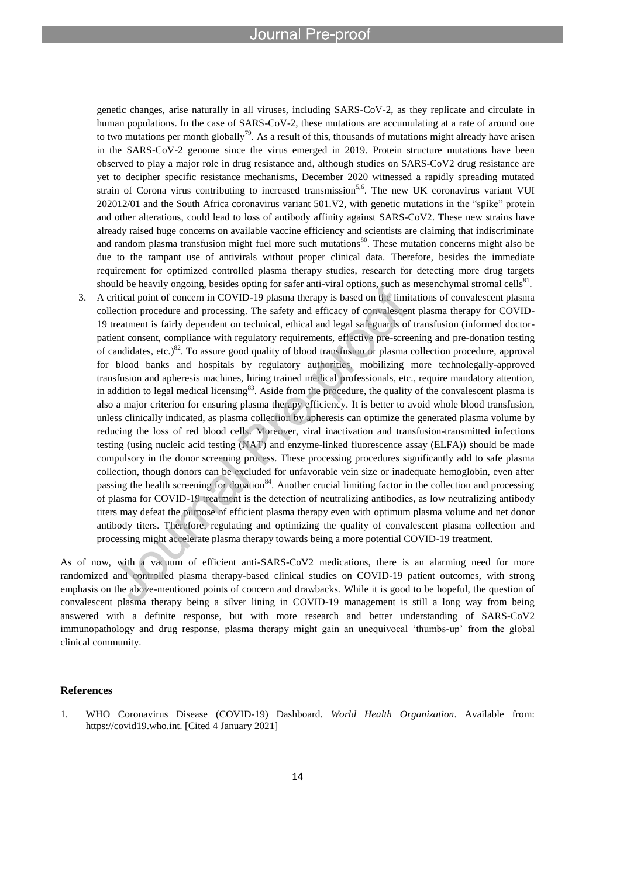genetic changes, arise naturally in all viruses, including SARS-CoV-2, as they replicate and circulate in human populations. In the case of SARS-CoV-2, these mutations are accumulating at a rate of around one to two mutations per month globally<sup>79</sup>. As a result of this, thousands of mutations might already have arisen in the SARS-CoV-2 genome since the virus emerged in 2019. Protein structure mutations have been observed to play a major role in drug resistance and, although studies on SARS-CoV2 drug resistance are yet to decipher specific resistance mechanisms, December 2020 witnessed a rapidly spreading mutated strain of Corona virus contributing to increased transmission<sup>5,6</sup>. The new UK coronavirus variant VUI 202012/01 and the South Africa coronavirus variant 501.V2, with genetic mutations in the "spike" protein and other alterations, could lead to loss of antibody affinity against SARS-CoV2. These new strains have already raised huge concerns on available vaccine efficiency and scientists are claiming that indiscriminate and random plasma transfusion might fuel more such mutations<sup>80</sup>. These mutation concerns might also be due to the rampant use of antivirals without proper clinical data. Therefore, besides the immediate requirement for optimized controlled plasma therapy studies, research for detecting more drug targets should be heavily ongoing, besides opting for safer anti-viral options, such as mesenchymal stromal cells<sup>81</sup>.

3. A critical point of concern in COVID-19 plasma therapy is based on the limitations of convalescent plasma collection procedure and processing. The safety and efficacy of convalescent plasma therapy for COVID-19 treatment is fairly dependent on technical, ethical and legal safeguards of transfusion (informed doctorpatient consent, compliance with regulatory requirements, effective pre-screening and pre-donation testing of candidates, etc.)<sup>82</sup>. To assure good quality of blood transfusion or plasma collection procedure, approval for blood banks and hospitals by regulatory authorities, mobilizing more technolegally-approved transfusion and apheresis machines, hiring trained medical professionals, etc., require mandatory attention, in addition to legal medical licensing<sup>83</sup>. Aside from the procedure, the quality of the convalescent plasma is also a major criterion for ensuring plasma therapy efficiency. It is better to avoid whole blood transfusion, unless clinically indicated, as plasma collection by apheresis can optimize the generated plasma volume by reducing the loss of red blood cells. Moreover, viral inactivation and transfusion-transmitted infections testing (using nucleic acid testing (NAT) and enzyme-linked fluorescence assay (ELFA)) should be made compulsory in the donor screening process. These processing procedures significantly add to safe plasma collection, though donors can be excluded for unfavorable vein size or inadequate hemoglobin, even after passing the health screening for donation<sup>84</sup>. Another crucial limiting factor in the collection and processing of plasma for COVID-19 treatment is the detection of neutralizing antibodies, as low neutralizing antibody titers may defeat the purpose of efficient plasma therapy even with optimum plasma volume and net donor antibody titers. Therefore, regulating and optimizing the quality of convalescent plasma collection and processing might accelerate plasma therapy towards being a more potential COVID-19 treatment.

As of now, with a vacuum of efficient anti-SARS-CoV2 medications, there is an alarming need for more randomized and controlled plasma therapy-based clinical studies on COVID-19 patient outcomes, with strong emphasis on the above-mentioned points of concern and drawbacks. While it is good to be hopeful, the question of convalescent plasma therapy being a silver lining in COVID-19 management is still a long way from being answered with a definite response, but with more research and better understanding of SARS-CoV2 immunopathology and drug response, plasma therapy might gain an unequivocal 'thumbs-up' from the global clinical community.

### **References**

1. WHO Coronavirus Disease (COVID-19) Dashboard. *World Health Organization*. Available from: https://covid19.who.int. [Cited 4 January 2021]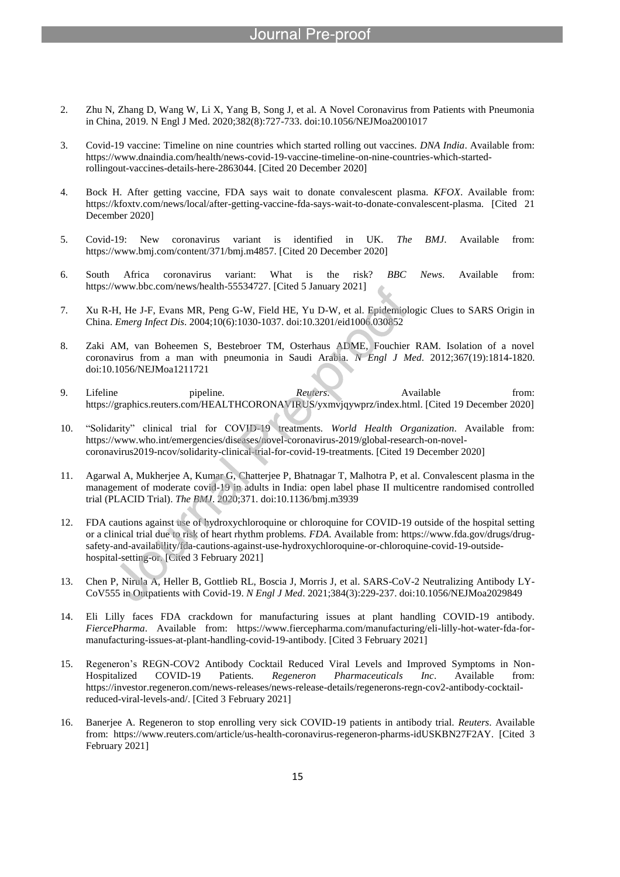- 2. Zhu N, Zhang D, Wang W, Li X, Yang B, Song J, et al. A Novel Coronavirus from Patients with Pneumonia in China, 2019. N Engl J Med. 2020;382(8):727-733. doi:10.1056/NEJMoa2001017
- 3. Covid-19 vaccine: Timeline on nine countries which started rolling out vaccines. *DNA India*. Available from: https://www.dnaindia.com/health/news-covid-19-vaccine-timeline-on-nine-countries-which-startedrollingout-vaccines-details-here-2863044. [Cited 20 December 2020]
- 4. Bock H. After getting vaccine, FDA says wait to donate convalescent plasma. *KFOX*. Available from: https://kfoxtv.com/news/local/after-getting-vaccine-fda-says-wait-to-donate-convalescent-plasma. [Cited 21 December 2020]
- 5. Covid-19: New coronavirus variant is identified in UK. *The BMJ*. Available from: https://www.bmj.com/content/371/bmj.m4857. [Cited 20 December 2020]
- 6. South Africa coronavirus variant: What is the risk? *BBC News*. Available from: https://www.bbc.com/news/health-55534727. [Cited 5 January 2021]
- 7. Xu R-H, He J-F, Evans MR, Peng G-W, Field HE, Yu D-W, et al. Epidemiologic Clues to SARS Origin in China. *Emerg Infect Dis*. 2004;10(6):1030-1037. doi:10.3201/eid1006.030852
- 8. Zaki AM, van Boheemen S, Bestebroer TM, Osterhaus ADME, Fouchier RAM. Isolation of a novel coronavirus from a man with pneumonia in Saudi Arabia. *N Engl J Med*. 2012;367(19):1814-1820. doi:10.1056/NEJMoa1211721
- 9. Lifeline pipeline. *Reuters*. Available from: https://graphics.reuters.com/HEALTHCORONAVIRUS/yxmvjqywprz/index.html. [Cited 19 December 2020]
- 10. "Solidarity" clinical trial for COVID-19 treatments. *World Health Organization*. Available from: https://www.who.int/emergencies/diseases/novel-coronavirus-2019/global-research-on-novelcoronavirus2019-ncov/solidarity-clinical-trial-for-covid-19-treatments. [Cited 19 December 2020]
- 11. Agarwal A, Mukherjee A, Kumar G, Chatterjee P, Bhatnagar T, Malhotra P, et al. Convalescent plasma in the management of moderate covid-19 in adults in India: open label phase II multicentre randomised controlled trial (PLACID Trial). *The BMJ*. 2020;371. doi:10.1136/bmj.m3939
- 12. FDA cautions against use of hydroxychloroquine or chloroquine for COVID-19 outside of the hospital setting or a clinical trial due to risk of heart rhythm problems. *FDA*. Available from: https://www.fda.gov/drugs/drugsafety-and-availability/fda-cautions-against-use-hydroxychloroquine-or-chloroquine-covid-19-outsidehospital-setting-or. [Cited 3 February 2021]
- 13. Chen P, Nirula A, Heller B, Gottlieb RL, Boscia J, Morris J, et al. SARS-CoV-2 Neutralizing Antibody LY-CoV555 in Outpatients with Covid-19. *N Engl J Med*. 2021;384(3):229-237. doi:10.1056/NEJMoa2029849
- 14. Eli Lilly faces FDA crackdown for manufacturing issues at plant handling COVID-19 antibody. *FiercePharma*. Available from: https://www.fiercepharma.com/manufacturing/eli-lilly-hot-water-fda-formanufacturing-issues-at-plant-handling-covid-19-antibody. [Cited 3 February 2021]
- 15. Regeneron's REGN-COV2 Antibody Cocktail Reduced Viral Levels and Improved Symptoms in Non-Hospitalized COVID-19 Patients. *Regeneron Pharmaceuticals Inc*. Available from: https://investor.regeneron.com/news-releases/news-release-details/regenerons-regn-cov2-antibody-cocktailreduced-viral-levels-and/. [Cited 3 February 2021]
- 16. Banerjee A. Regeneron to stop enrolling very sick COVID-19 patients in antibody trial. *Reuters*. Available from: https://www.reuters.com/article/us-health-coronavirus-regeneron-pharms-idUSKBN27F2AY. [Cited 3 February 2021]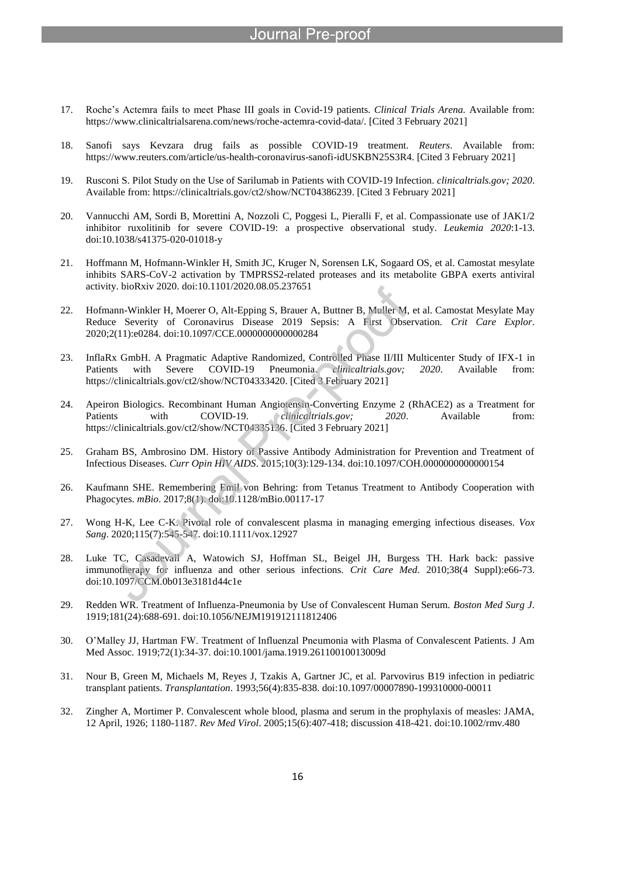- 17. Roche's Actemra fails to meet Phase III goals in Covid-19 patients. *Clinical Trials Arena.* Available from: https://www.clinicaltrialsarena.com/news/roche-actemra-covid-data/. [Cited 3 February 2021]
- 18. Sanofi says Kevzara drug fails as possible COVID-19 treatment. *Reuters*. Available from: https://www.reuters.com/article/us-health-coronavirus-sanofi-idUSKBN25S3R4. [Cited 3 February 2021]
- 19. Rusconi S. Pilot Study on the Use of Sarilumab in Patients with COVID-19 Infection. *clinicaltrials.gov; 2020*. Available from: https://clinicaltrials.gov/ct2/show/NCT04386239. [Cited 3 February 2021]
- 20. Vannucchi AM, Sordi B, Morettini A, Nozzoli C, Poggesi L, Pieralli F, et al. Compassionate use of JAK1/2 inhibitor ruxolitinib for severe COVID-19: a prospective observational study. *Leukemia 2020*:1-13. doi:10.1038/s41375-020-01018-y
- 21. Hoffmann M, Hofmann-Winkler H, Smith JC, Kruger N, Sorensen LK, Sogaard OS, et al. Camostat mesylate inhibits SARS-CoV-2 activation by TMPRSS2-related proteases and its metabolite GBPA exerts antiviral activity. bioRxiv 2020. doi:10.1101/2020.08.05.237651
- 22. Hofmann-Winkler H, Moerer O, Alt-Epping S, Brauer A, Buttner B, Muller M, et al. Camostat Mesylate May Reduce Severity of Coronavirus Disease 2019 Sepsis: A First Observation. *Crit Care Explor*. 2020;2(11):e0284. doi:10.1097/CCE.0000000000000284
- 23. InflaRx GmbH. A Pragmatic Adaptive Randomized, Controlled Phase II/III Multicenter Study of IFX-1 in Patients with Severe COVID-19 Pneumonia. *clinicaltrials.gov; 2020*. Available from: https://clinicaltrials.gov/ct2/show/NCT04333420. [Cited 3 February 2021]
- 24. Apeiron Biologics. Recombinant Human Angiotensin-Converting Enzyme 2 (RhACE2) as a Treatment for Patients with COVID-19. *clinicaltrials.gov*; 2020. Available from: https://clinicaltrials.gov/ct2/show/NCT04335136. [Cited 3 February 2021]
- 25. Graham BS, Ambrosino DM. History of Passive Antibody Administration for Prevention and Treatment of Infectious Diseases. *Curr Opin HIV AIDS*. 2015;10(3):129-134. doi:10.1097/COH.0000000000000154
- 26. Kaufmann SHE. Remembering Emil von Behring: from Tetanus Treatment to Antibody Cooperation with Phagocytes. *mBio*. 2017;8(1). doi:10.1128/mBio.00117-17
- 27. Wong H-K, Lee C-K. Pivotal role of convalescent plasma in managing emerging infectious diseases. *Vox Sang*. 2020;115(7):545-547. doi:10.1111/vox.12927
- 28. Luke TC, Casadevall A, Watowich SJ, Hoffman SL, Beigel JH, Burgess TH. Hark back: passive immunotherapy for influenza and other serious infections. *Crit Care Med*. 2010;38(4 Suppl):e66-73. doi:10.1097/CCM.0b013e3181d44c1e
- 29. Redden WR. Treatment of Influenza-Pneumonia by Use of Convalescent Human Serum. *Boston Med Surg J*. 1919;181(24):688-691. doi:10.1056/NEJM191912111812406
- 30. O'Malley JJ, Hartman FW. Treatment of Influenzal Pneumonia with Plasma of Convalescent Patients. J Am Med Assoc. 1919;72(1):34-37. doi:10.1001/jama.1919.26110010013009d
- 31. Nour B, Green M, Michaels M, Reyes J, Tzakis A, Gartner JC, et al. Parvovirus B19 infection in pediatric transplant patients. *Transplantation*. 1993;56(4):835-838. doi:10.1097/00007890-199310000-00011
- 32. Zingher A, Mortimer P. Convalescent whole blood, plasma and serum in the prophylaxis of measles: JAMA, 12 April, 1926; 1180-1187. *Rev Med Virol*. 2005;15(6):407-418; discussion 418-421. doi:10.1002/rmv.480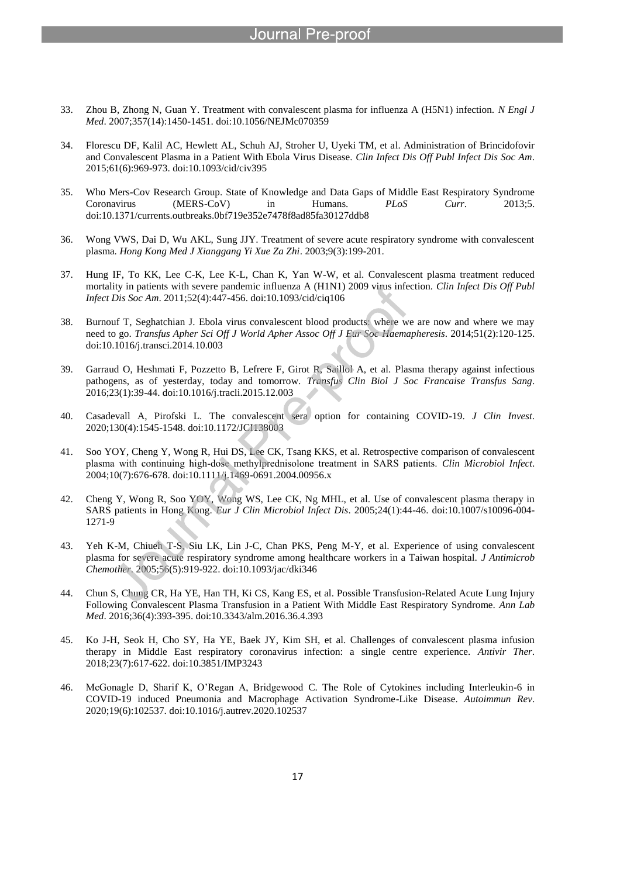- 33. Zhou B, Zhong N, Guan Y. Treatment with convalescent plasma for influenza A (H5N1) infection. *N Engl J Med*. 2007;357(14):1450-1451. doi:10.1056/NEJMc070359
- 34. Florescu DF, Kalil AC, Hewlett AL, Schuh AJ, Stroher U, Uyeki TM, et al. Administration of Brincidofovir and Convalescent Plasma in a Patient With Ebola Virus Disease. *Clin Infect Dis Off Publ Infect Dis Soc Am*. 2015;61(6):969-973. doi:10.1093/cid/civ395
- 35. Who Mers-Cov Research Group. State of Knowledge and Data Gaps of Middle East Respiratory Syndrome Coronavirus (MERS-CoV) in Humans. *PLoS Curr*. 2013;5. doi:10.1371/currents.outbreaks.0bf719e352e7478f8ad85fa30127ddb8
- 36. Wong VWS, Dai D, Wu AKL, Sung JJY. Treatment of severe acute respiratory syndrome with convalescent plasma. *Hong Kong Med J Xianggang Yi Xue Za Zhi*. 2003;9(3):199-201.
- 37. Hung IF, To KK, Lee C-K, Lee K-L, Chan K, Yan W-W, et al. Convalescent plasma treatment reduced mortality in patients with severe pandemic influenza A (H1N1) 2009 virus infection. *Clin Infect Dis Off Publ Infect Dis Soc Am*. 2011;52(4):447-456. doi:10.1093/cid/ciq106
- 38. Burnouf T, Seghatchian J. Ebola virus convalescent blood products: where we are now and where we may need to go. *Transfus Apher Sci Off J World Apher Assoc Off J Eur Soc Haemapheresis*. 2014;51(2):120-125. doi:10.1016/j.transci.2014.10.003
- 39. Garraud O, Heshmati F, Pozzetto B, Lefrere F, Girot R, Saillol A, et al. Plasma therapy against infectious pathogens, as of yesterday, today and tomorrow. *Transfus Clin Biol J Soc Francaise Transfus Sang*. 2016;23(1):39-44. doi:10.1016/j.tracli.2015.12.003
- 40. Casadevall A, Pirofski L. The convalescent sera option for containing COVID-19. *J Clin Invest*. 2020;130(4):1545-1548. doi:10.1172/JCI138003
- 41. Soo YOY, Cheng Y, Wong R, Hui DS, Lee CK, Tsang KKS, et al. Retrospective comparison of convalescent plasma with continuing high‐dose methylprednisolone treatment in SARS patients. *Clin Microbiol Infect*. 2004;10(7):676-678. doi:10.1111/j.1469-0691.2004.00956.x
- 42. Cheng Y, Wong R, Soo YOY, Wong WS, Lee CK, Ng MHL, et al. Use of convalescent plasma therapy in SARS patients in Hong Kong. *Eur J Clin Microbiol Infect Dis*. 2005;24(1):44-46. doi:10.1007/s10096-004- 1271-9
- 43. Yeh K-M, Chiueh T-S, Siu LK, Lin J-C, Chan PKS, Peng M-Y, et al. Experience of using convalescent plasma for severe acute respiratory syndrome among healthcare workers in a Taiwan hospital. *J Antimicrob Chemother*. 2005;56(5):919-922. doi:10.1093/jac/dki346
- 44. Chun S, Chung CR, Ha YE, Han TH, Ki CS, Kang ES, et al. Possible Transfusion-Related Acute Lung Injury Following Convalescent Plasma Transfusion in a Patient With Middle East Respiratory Syndrome. *Ann Lab Med*. 2016;36(4):393-395. doi:10.3343/alm.2016.36.4.393
- 45. Ko J-H, Seok H, Cho SY, Ha YE, Baek JY, Kim SH, et al. Challenges of convalescent plasma infusion therapy in Middle East respiratory coronavirus infection: a single centre experience. *Antivir Ther*. 2018;23(7):617-622. doi:10.3851/IMP3243
- 46. McGonagle D, Sharif K, O'Regan A, Bridgewood C. The Role of Cytokines including Interleukin-6 in COVID-19 induced Pneumonia and Macrophage Activation Syndrome-Like Disease. *Autoimmun Rev*. 2020;19(6):102537. doi:10.1016/j.autrev.2020.102537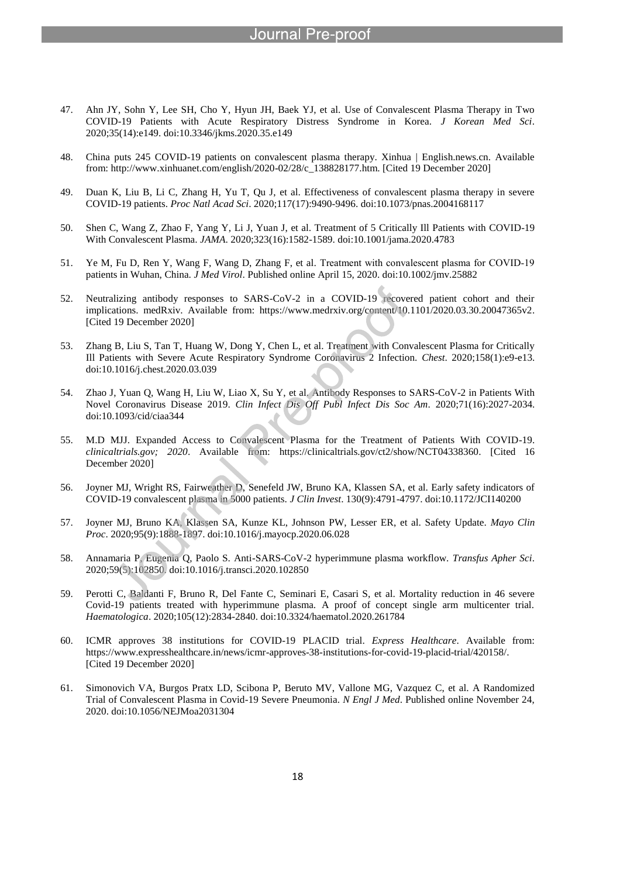- 47. Ahn JY, Sohn Y, Lee SH, Cho Y, Hyun JH, Baek YJ, et al. Use of Convalescent Plasma Therapy in Two COVID-19 Patients with Acute Respiratory Distress Syndrome in Korea. *J Korean Med Sci*. 2020;35(14):e149. doi:10.3346/jkms.2020.35.e149
- 48. China puts 245 COVID-19 patients on convalescent plasma therapy. Xinhua | English.news.cn. Available from: http://www.xinhuanet.com/english/2020-02/28/c\_138828177.htm. [Cited 19 December 2020]
- 49. Duan K, Liu B, Li C, Zhang H, Yu T, Qu J, et al. Effectiveness of convalescent plasma therapy in severe COVID-19 patients. *Proc Natl Acad Sci*. 2020;117(17):9490-9496. doi:10.1073/pnas.2004168117
- 50. Shen C, Wang Z, Zhao F, Yang Y, Li J, Yuan J, et al. Treatment of 5 Critically Ill Patients with COVID-19 With Convalescent Plasma. *JAMA*. 2020;323(16):1582-1589. doi:10.1001/jama.2020.4783
- 51. Ye M, Fu D, Ren Y, Wang F, Wang D, Zhang F, et al. Treatment with convalescent plasma for COVID‐19 patients in Wuhan, China. *J Med Virol*. Published online April 15, 2020. doi:10.1002/jmv.25882
- 52. Neutralizing antibody responses to SARS-CoV-2 in a COVID-19 recovered patient cohort and their implications. medRxiv. Available from: https://www.medrxiv.org/content/10.1101/2020.03.30.20047365v2. [Cited 19 December 2020]
- 53. Zhang B, Liu S, Tan T, Huang W, Dong Y, Chen L, et al. Treatment with Convalescent Plasma for Critically Ill Patients with Severe Acute Respiratory Syndrome Coronavirus 2 Infection. *Chest*. 2020;158(1):e9-e13. doi:10.1016/j.chest.2020.03.039
- 54. Zhao J, Yuan Q, Wang H, Liu W, Liao X, Su Y, et al. Antibody Responses to SARS-CoV-2 in Patients With Novel Coronavirus Disease 2019. *Clin Infect Dis Off Publ Infect Dis Soc Am*. 2020;71(16):2027-2034. doi:10.1093/cid/ciaa344
- 55. M.D MJJ. Expanded Access to Convalescent Plasma for the Treatment of Patients With COVID-19. *clinicaltrials.gov; 2020*. Available from: https://clinicaltrials.gov/ct2/show/NCT04338360. [Cited 16 December 2020]
- 56. Joyner MJ, Wright RS, Fairweather D, Senefeld JW, Bruno KA, Klassen SA, et al. Early safety indicators of COVID-19 convalescent plasma in 5000 patients. *J Clin Invest*. 130(9):4791-4797. doi:10.1172/JCI140200
- 57. Joyner MJ, Bruno KA, Klassen SA, Kunze KL, Johnson PW, Lesser ER, et al. Safety Update. *Mayo Clin Proc*. 2020;95(9):1888-1897. doi:10.1016/j.mayocp.2020.06.028
- 58. Annamaria P, Eugenia Q, Paolo S. Anti-SARS-CoV-2 hyperimmune plasma workflow. *Transfus Apher Sci*. 2020;59(5):102850. doi:10.1016/j.transci.2020.102850
- 59. Perotti C, Baldanti F, Bruno R, Del Fante C, Seminari E, Casari S, et al. Mortality reduction in 46 severe Covid-19 patients treated with hyperimmune plasma. A proof of concept single arm multicenter trial. *Haematologica*. 2020;105(12):2834-2840. doi:10.3324/haematol.2020.261784
- 60. ICMR approves 38 institutions for COVID-19 PLACID trial. *Express Healthcare*. Available from: https://www.expresshealthcare.in/news/icmr-approves-38-institutions-for-covid-19-placid-trial/420158/. [Cited 19 December 2020]
- 61. Simonovich VA, Burgos Pratx LD, Scibona P, Beruto MV, Vallone MG, Vazquez C, et al. A Randomized Trial of Convalescent Plasma in Covid-19 Severe Pneumonia. *N Engl J Med*. Published online November 24, 2020. doi:10.1056/NEJMoa2031304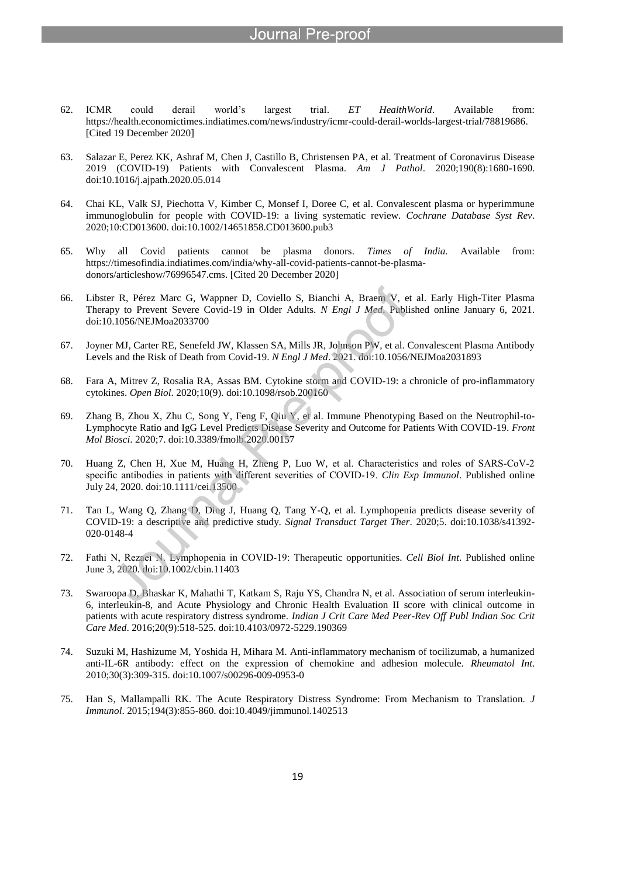## re-nroo:

- 62. ICMR could derail world's largest trial. *ET HealthWorld*. Available from: https://health.economictimes.indiatimes.com/news/industry/icmr-could-derail-worlds-largest-trial/78819686. [Cited 19 December 2020]
- 63. Salazar E, Perez KK, Ashraf M, Chen J, Castillo B, Christensen PA, et al. Treatment of Coronavirus Disease 2019 (COVID-19) Patients with Convalescent Plasma. *Am J Pathol*. 2020;190(8):1680-1690. doi:10.1016/j.ajpath.2020.05.014
- 64. Chai KL, Valk SJ, Piechotta V, Kimber C, Monsef I, Doree C, et al. Convalescent plasma or hyperimmune immunoglobulin for people with COVID-19: a living systematic review. *Cochrane Database Syst Rev*. 2020;10:CD013600. doi:10.1002/14651858.CD013600.pub3
- 65. Why all Covid patients cannot be plasma donors. *Times of India.* Available from: https://timesofindia.indiatimes.com/india/why-all-covid-patients-cannot-be-plasmadonors/articleshow/76996547.cms. [Cited 20 December 2020]
- 66. Libster R, Pérez Marc G, Wappner D, Coviello S, Bianchi A, Braem V, et al. Early High-Titer Plasma Therapy to Prevent Severe Covid-19 in Older Adults. *N Engl J Med*. Published online January 6, 2021. doi:10.1056/NEJMoa2033700
- 67. Joyner MJ, Carter RE, Senefeld JW, Klassen SA, Mills JR, Johnson PW, et al. Convalescent Plasma Antibody Levels and the Risk of Death from Covid-19. *N Engl J Med*. 2021. doi:10.1056/NEJMoa2031893
- 68. Fara A, Mitrev Z, Rosalia RA, Assas BM. Cytokine storm and COVID-19: a chronicle of pro-inflammatory cytokines. *Open Biol*. 2020;10(9). doi:10.1098/rsob.200160
- 69. Zhang B, Zhou X, Zhu C, Song Y, Feng F, Qiu Y, et al. Immune Phenotyping Based on the Neutrophil-to-Lymphocyte Ratio and IgG Level Predicts Disease Severity and Outcome for Patients With COVID-19. *Front Mol Biosci*. 2020;7. doi:10.3389/fmolb.2020.00157
- 70. Huang Z, Chen H, Xue M, Huang H, Zheng P, Luo W, et al. Characteristics and roles of SARS‐CoV‐2 specific antibodies in patients with different severities of COVID-19. *Clin Exp Immunol*. Published online July 24, 2020. doi:10.1111/cei.13500
- 71. Tan L, Wang Q, Zhang D, Ding J, Huang Q, Tang Y-Q, et al. Lymphopenia predicts disease severity of COVID-19: a descriptive and predictive study. *Signal Transduct Target Ther*. 2020;5. doi:10.1038/s41392- 020-0148-4
- 72. Fathi N, Rezaei N. Lymphopenia in COVID‐19: Therapeutic opportunities. *Cell Biol Int*. Published online June 3, 2020. doi:10.1002/cbin.11403
- 73. Swaroopa D, Bhaskar K, Mahathi T, Katkam S, Raju YS, Chandra N, et al. Association of serum interleukin-6, interleukin-8, and Acute Physiology and Chronic Health Evaluation II score with clinical outcome in patients with acute respiratory distress syndrome. *Indian J Crit Care Med Peer-Rev Off Publ Indian Soc Crit Care Med*. 2016;20(9):518-525. doi:10.4103/0972-5229.190369
- 74. Suzuki M, Hashizume M, Yoshida H, Mihara M. Anti-inflammatory mechanism of tocilizumab, a humanized anti-IL-6R antibody: effect on the expression of chemokine and adhesion molecule. *Rheumatol Int*. 2010;30(3):309-315. doi:10.1007/s00296-009-0953-0
- 75. Han S, Mallampalli RK. The Acute Respiratory Distress Syndrome: From Mechanism to Translation. *J Immunol*. 2015;194(3):855-860. doi:10.4049/jimmunol.1402513